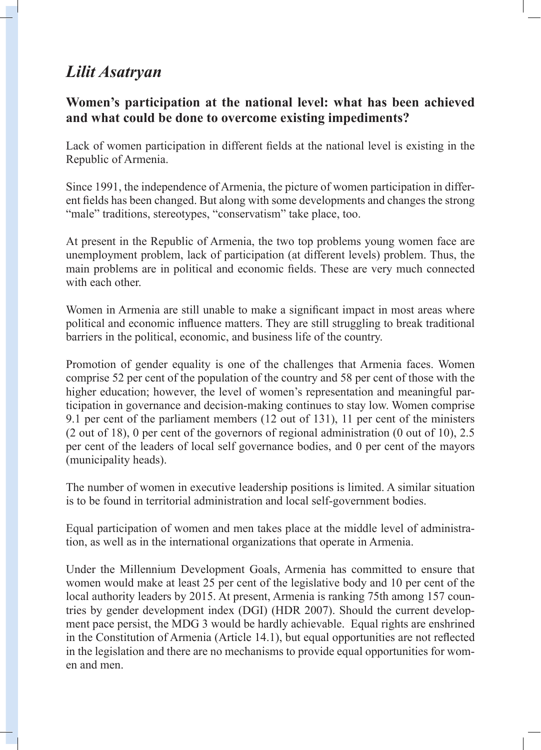## *Lilit Asatryan*

## **Women's participation at the national level: what has been achieved and what could be done to overcome existing impediments?**

Lack of women participation in different fields at the national level is existing in the Republic of Armenia.

Since 1991, the independence of Armenia, the picture of women participation in different fields has been changed. But along with some developments and changes the strong "male" traditions, stereotypes, "conservatism" take place, too.

At present in the Republic of Armenia, the two top problems young women face are unemployment problem, lack of participation (at different levels) problem. Thus, the main problems are in political and economic fields. These are very much connected with each other.

Women in Armenia are still unable to make a significant impact in most areas where political and economic influence matters. They are still struggling to break traditional barriers in the political, economic, and business life of the country.

Promotion of gender equality is one of the challenges that Armenia faces. Women comprise 52 per cent of the population of the country and 58 per cent of those with the higher education; however, the level of women's representation and meaningful participation in governance and decision-making continues to stay low. Women comprise 9.1 per cent of the parliament members (12 out of 131), 11 per cent of the ministers (2 out of 18), 0 per cent of the governors of regional administration (0 out of 10), 2.5 per cent of the leaders of local self governance bodies, and 0 per cent of the mayors (municipality heads).

The number of women in executive leadership positions is limited. A similar situation is to be found in territorial administration and local self-government bodies.

Equal participation of women and men takes place at the middle level of administration, as well as in the international organizations that operate in Armenia.

Under the Millennium Development Goals, Armenia has committed to ensure that women would make at least 25 per cent of the legislative body and 10 per cent of the local authority leaders by 2015. At present, Armenia is ranking 75th among 157 countries by gender development index (DGI) (HDR 2007). Should the current development pace persist, the MDG 3 would be hardly achievable. Equal rights are enshrined in the Constitution of Armenia (Article 14.1), but equal opportunities are not reflected in the legislation and there are no mechanisms to provide equal opportunities for women and men.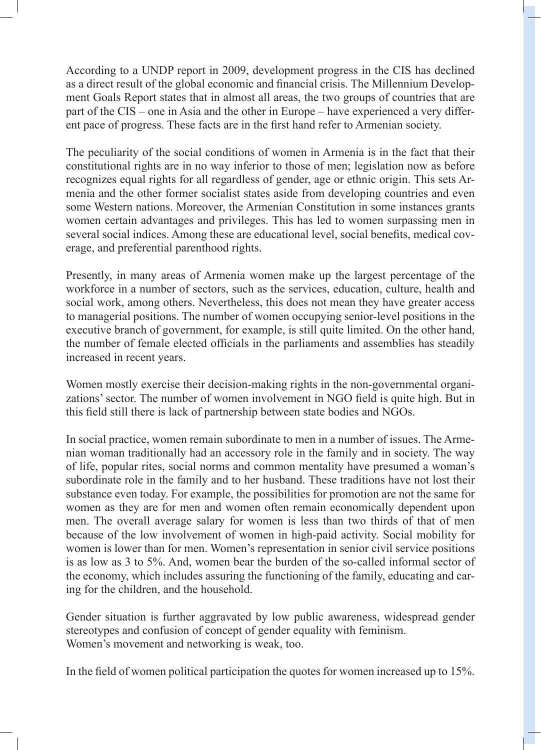According to a UNDP report in 2009, development progress in the CIS has declined as a direct result of the global economic and financial crisis. The Millennium Development Goals Report states that in almost all areas, the two groups of countries that are part of the CIS – one in Asia and the other in Europe – have experienced a very different pace of progress. These facts are in the first hand refer to Armenian society.

The peculiarity of the social conditions of women in Armenia is in the fact that their constitutional rights are in no way inferior to those of men; legislation now as before recognizes equal rights for all regardless of gender, age or ethnic origin. This sets Armenia and the other former socialist states aside from developing countries and even some Western nations. Moreover, the Armenian Constitution in some instances grants women certain advantages and privileges. This has led to women surpassing men in several social indices. Among these are educational level, social benefits, medical coverage, and preferential parenthood rights.

Presently, in many areas of Armenia women make up the largest percentage of the workforce in a number of sectors, such as the services, education, culture, health and social work, among others. Nevertheless, this does not mean they have greater access to managerial positions. The number of women occupying senior-level positions in the executive branch of government, for example, is still quite limited. On the other hand, the number of female elected officials in the parliaments and assemblies has steadily increased in recent years.

Women mostly exercise their decision-making rights in the non-governmental organizations' sector. The number of women involvement in NGO field is quite high. But in this field still there is lack of partnership between state bodies and NGOs.

In social practice, women remain subordinate to men in a number of issues. The Armenian woman traditionally had an accessory role in the family and in society. The way of life, popular rites, social norms and common mentality have presumed a woman's subordinate role in the family and to her husband. These traditions have not lost their substance even today. For example, the possibilities for promotion are not the same for women as they are for men and women often remain economically dependent upon men. The overall average salary for women is less than two thirds of that of men because of the low involvement of women in high-paid activity. Social mobility for women is lower than for men. Women's representation in senior civil service positions is as low as 3 to 5%. And, women bear the burden of the so-called informal sector of the economy, which includes assuring the functioning of the family, educating and caring for the children, and the household.

Gender situation is further aggravated by low public awareness, widespread gender stereotypes and confusion of concept of gender equality with feminism. Women's movement and networking is weak, too.

In the field of women political participation the quotes for women increased up to 15%.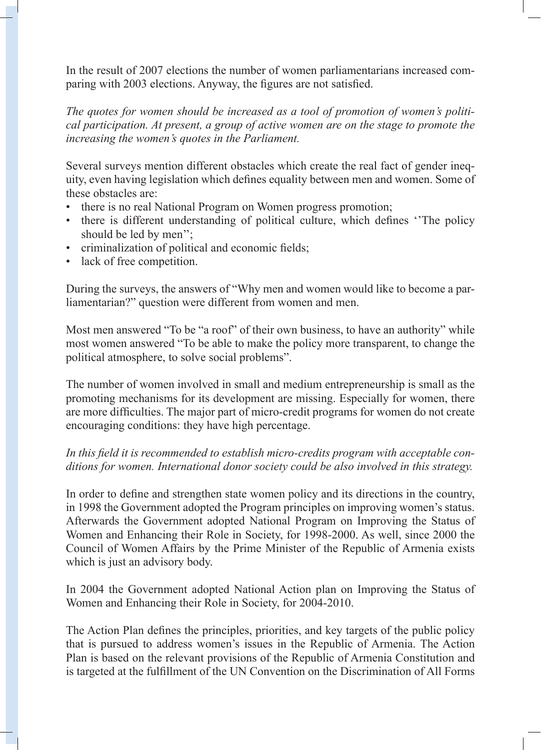In the result of 2007 elections the number of women parliamentarians increased comparing with 2003 elections. Anyway, the figures are not satisfied.

*The quotes for women should be increased as a tool of promotion of women's political participation. At present, a group of active women are on the stage to promote the increasing the women's quotes in the Parliament.*

Several surveys mention different obstacles which create the real fact of gender inequity, even having legislation which defines equality between men and women. Some of these obstacles are:

- there is no real National Program on Women progress promotion;
- there is different understanding of political culture, which defines ''The policy should be led by men'';
- criminalization of political and economic fields;
- lack of free competition.

During the surveys, the answers of "Why men and women would like to become a parliamentarian?" question were different from women and men.

Most men answered "To be "a roof" of their own business, to have an authority" while most women answered "To be able to make the policy more transparent, to change the political atmosphere, to solve social problems".

The number of women involved in small and medium entrepreneurship is small as the promoting mechanisms for its development are missing. Especially for women, there are more difficulties. The major part of micro-credit programs for women do not create encouraging conditions: they have high percentage.

## *In this field it is recommended to establish micro-credits program with acceptable conditions for women. International donor society could be also involved in this strategy.*

In order to define and strengthen state women policy and its directions in the country, in 1998 the Government adopted the Program principles on improving women's status. Afterwards the Government adopted National Program on Improving the Status of Women and Enhancing their Role in Society, for 1998-2000. As well, since 2000 the Council of Women Affairs by the Prime Minister of the Republic of Armenia exists which is just an advisory body.

In 2004 the Government adopted National Action plan on Improving the Status of Women and Enhancing their Role in Society, for 2004-2010.

The Action Plan defines the principles, priorities, and key targets of the public policy that is pursued to address women's issues in the Republic of Armenia. The Action Plan is based on the relevant provisions of the Republic of Armenia Constitution and is targeted at the fulfillment of the UN Convention on the Discrimination of All Forms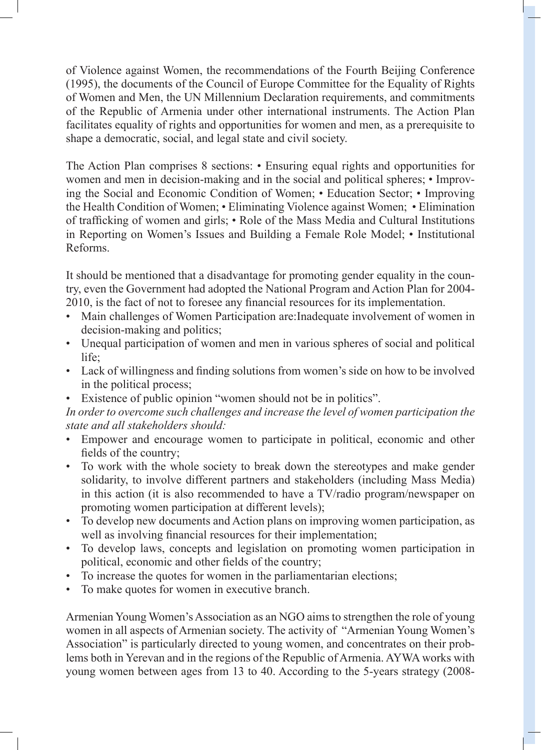of Violence against Women, the recommendations of the Fourth Beijing Conference (1995), the documents of the Council of Europe Committee for the Equality of Rights of Women and Men, the UN Millennium Declaration requirements, and commitments of the Republic of Armenia under other international instruments. The Action Plan facilitates equality of rights and opportunities for women and men, as a prerequisite to shape a democratic, social, and legal state and civil society.

The Action Plan comprises 8 sections: • Ensuring equal rights and opportunities for women and men in decision-making and in the social and political spheres; • Improving the Social and Economic Condition of Women; • Education Sector; • Improving the Health Condition of Women; • Eliminating Violence against Women; • Elimination of trafficking of women and girls; • Role of the Mass Media and Cultural Institutions in Reporting on Women's Issues and Building a Female Role Model; • Institutional Reforms.

It should be mentioned that a disadvantage for promoting gender equality in the country, even the Government had adopted the National Program and Action Plan for 2004- 2010, is the fact of not to foresee any financial resources for its implementation.

- Main challenges of Women Participation are:Inadequate involvement of women in decision-making and politics;
- Unequal participation of women and men in various spheres of social and political life;
- Lack of willingness and finding solutions from women's side on how to be involved in the political process;
- Existence of public opinion "women should not be in politics".

*In order to overcome such challenges and increase the level of women participation the state and all stakeholders should:*

- Empower and encourage women to participate in political, economic and other fields of the country;
- To work with the whole society to break down the stereotypes and make gender solidarity, to involve different partners and stakeholders (including Mass Media) in this action (it is also recommended to have a TV/radio program/newspaper on promoting women participation at different levels);
- To develop new documents and Action plans on improving women participation, as well as involving financial resources for their implementation;
- To develop laws, concepts and legislation on promoting women participation in political, economic and other fields of the country;
- To increase the quotes for women in the parliamentarian elections;
- To make quotes for women in executive branch.

Armenian Young Women's Association as an NGO aims to strengthen the role of young women in all aspects of Armenian society. The activity of "Armenian Young Women's Association" is particularly directed to young women, and concentrates on their problems both in Yerevan and in the regions of the Republic of Armenia. AYWA works with young women between ages from 13 to 40. According to the 5-years strategy (2008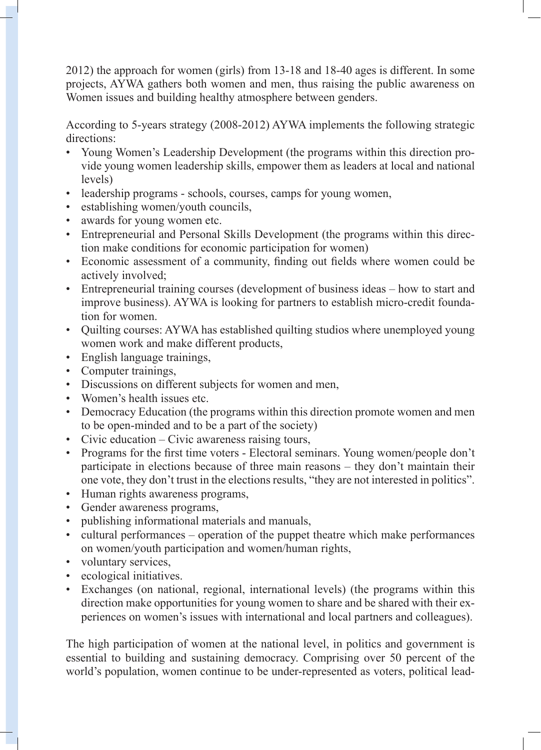2012) the approach for women (girls) from 13-18 and 18-40 ages is different. In some projects, AYWA gathers both women and men, thus raising the public awareness on Women issues and building healthy atmosphere between genders.

According to 5-years strategy (2008-2012) AYWA implements the following strategic directions:

- Young Women's Leadership Development (the programs within this direction provide young women leadership skills, empower them as leaders at local and national levels)
- leadership programs schools, courses, camps for young women,
- establishing women/youth councils,
- awards for young women etc.
- Entrepreneurial and Personal Skills Development (the programs within this direction make conditions for economic participation for women)
- Economic assessment of a community, finding out fields where women could be actively involved;
- Entrepreneurial training courses (development of business ideas how to start and improve business). AYWA is looking for partners to establish micro-credit foundation for women.
- Quilting courses: AYWA has established quilting studios where unemployed young women work and make different products,
- English language trainings,
- Computer trainings,
- Discussions on different subjects for women and men,
- Women's health issues etc.
- Democracy Education (the programs within this direction promote women and men to be open-minded and to be a part of the society)
- Civic education Civic awareness raising tours,
- Programs for the first time voters Electoral seminars. Young women/people don't participate in elections because of three main reasons – they don't maintain their one vote, they don't trust in the elections results, "they are not interested in politics".
- Human rights awareness programs,
- Gender awareness programs,
- publishing informational materials and manuals,
- cultural performances operation of the puppet theatre which make performances on women/youth participation and women/human rights,
- voluntary services,
- ecological initiatives.
- Exchanges (on national, regional, international levels) (the programs within this direction make opportunities for young women to share and be shared with their experiences on women's issues with international and local partners and colleagues).

The high participation of women at the national level, in politics and government is essential to building and sustaining democracy. Comprising over 50 percent of the world's population, women continue to be under-represented as voters, political lead